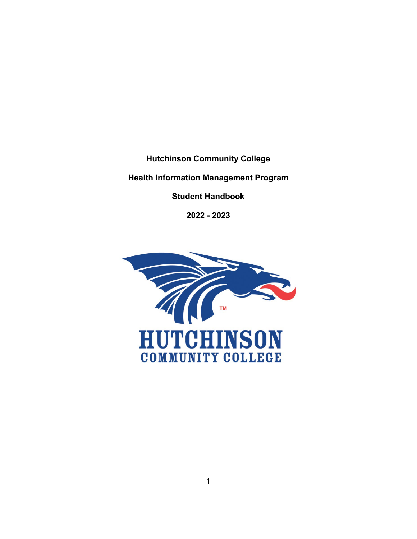**Hutchinson Community College**

# **Health Information Management Program**

**Student Handbook**

**2022 - 2023**

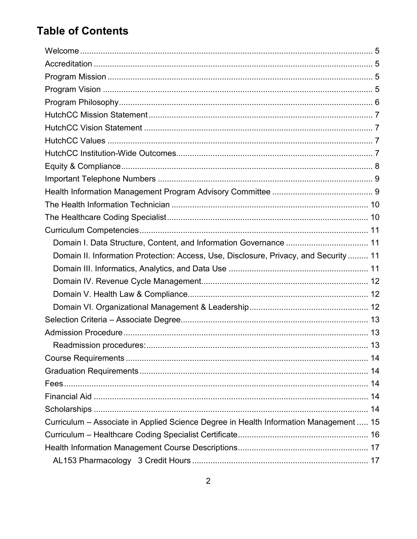# **Table of Contents**

| Domain II. Information Protection: Access, Use, Disclosure, Privacy, and Security  11 |  |
|---------------------------------------------------------------------------------------|--|
|                                                                                       |  |
|                                                                                       |  |
|                                                                                       |  |
|                                                                                       |  |
|                                                                                       |  |
|                                                                                       |  |
|                                                                                       |  |
|                                                                                       |  |
|                                                                                       |  |
|                                                                                       |  |
|                                                                                       |  |
|                                                                                       |  |
| Curriculum - Associate in Applied Science Degree in Health Information Management  15 |  |
|                                                                                       |  |
|                                                                                       |  |
|                                                                                       |  |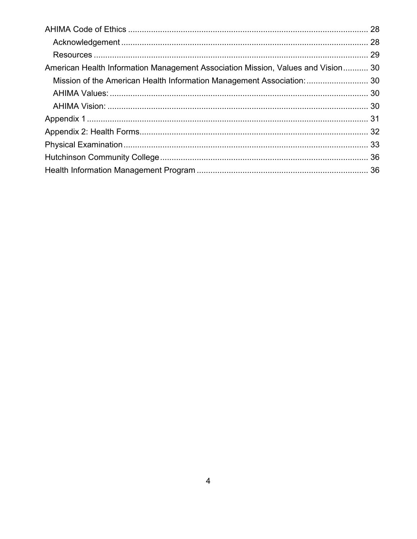| American Health Information Management Association Mission, Values and Vision 30 |  |
|----------------------------------------------------------------------------------|--|
| Mission of the American Health Information Management Association:  30           |  |
|                                                                                  |  |
|                                                                                  |  |
|                                                                                  |  |
|                                                                                  |  |
|                                                                                  |  |
|                                                                                  |  |
|                                                                                  |  |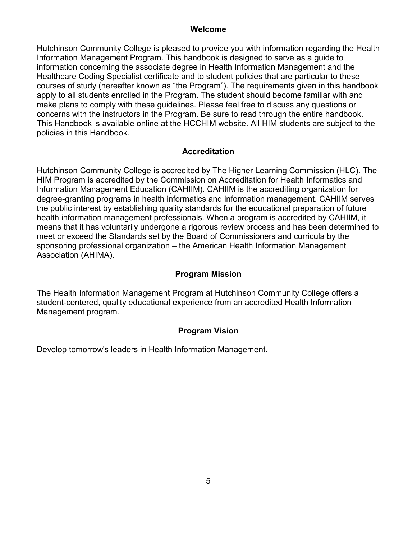#### **Welcome**

<span id="page-4-0"></span>Hutchinson Community College is pleased to provide you with information regarding the Health Information Management Program. This handbook is designed to serve as a guide to information concerning the associate degree in Health Information Management and the Healthcare Coding Specialist certificate and to student policies that are particular to these courses of study (hereafter known as "the Program"). The requirements given in this handbook apply to all students enrolled in the Program. The student should become familiar with and make plans to comply with these guidelines. Please feel free to discuss any questions or concerns with the instructors in the Program. Be sure to read through the entire handbook. This Handbook is available online at the HCCHIM website. All HIM students are subject to the policies in this Handbook.

# **Accreditation**

<span id="page-4-1"></span>Hutchinson Community College is accredited by The Higher Learning Commission (HLC). The HIM Program is accredited by the Commission on Accreditation for Health Informatics and Information Management Education (CAHIIM). CAHIIM is the accrediting organization for degree-granting programs in health informatics and information management. CAHIIM serves the public interest by establishing quality standards for the educational preparation of future health information management professionals. When a program is accredited by CAHIIM, it means that it has voluntarily undergone a rigorous review process and has been determined to meet or exceed the Standards set by the Board of Commissioners and curricula by the sponsoring professional organization – the American Health Information Management Association (AHIMA).

### **Program Mission**

<span id="page-4-2"></span>The Health Information Management Program at Hutchinson Community College offers a student-centered, quality educational experience from an accredited Health Information Management program.

# **Program Vision**

<span id="page-4-3"></span>Develop tomorrow's leaders in Health Information Management.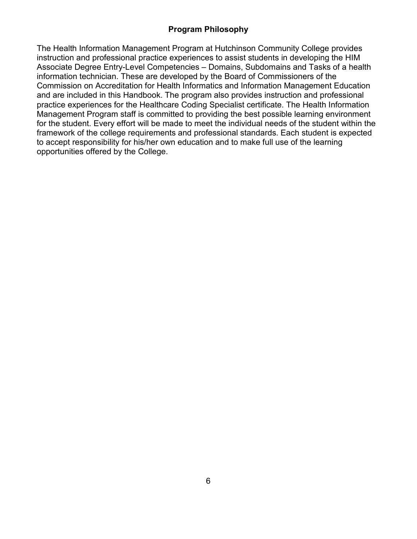# **Program Philosophy**

<span id="page-5-0"></span>The Health Information Management Program at Hutchinson Community College provides instruction and professional practice experiences to assist students in developing the HIM Associate Degree Entry-Level Competencies – Domains, Subdomains and Tasks of a health information technician. These are developed by the Board of Commissioners of the Commission on Accreditation for Health Informatics and Information Management Education and are included in this Handbook. The program also provides instruction and professional practice experiences for the Healthcare Coding Specialist certificate. The Health Information Management Program staff is committed to providing the best possible learning environment for the student. Every effort will be made to meet the individual needs of the student within the framework of the college requirements and professional standards. Each student is expected to accept responsibility for his/her own education and to make full use of the learning opportunities offered by the College.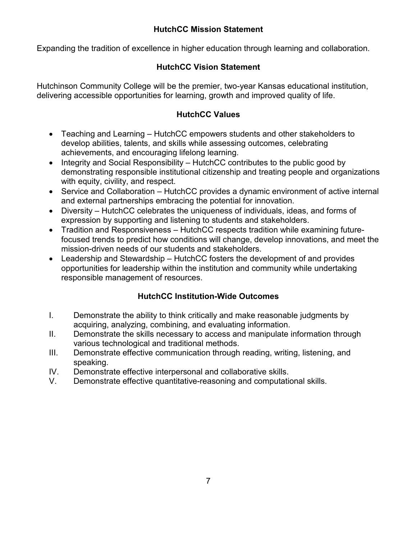# **HutchCC Mission Statement**

<span id="page-6-0"></span>Expanding the tradition of excellence in higher education through learning and collaboration.

# **HutchCC Vision Statement**

<span id="page-6-1"></span>Hutchinson Community College will be the premier, two-year Kansas educational institution, delivering accessible opportunities for learning, growth and improved quality of life.

# **HutchCC Values**

- <span id="page-6-2"></span>• Teaching and Learning – HutchCC empowers students and other stakeholders to develop abilities, talents, and skills while assessing outcomes, celebrating achievements, and encouraging lifelong learning.
- Integrity and Social Responsibility HutchCC contributes to the public good by demonstrating responsible institutional citizenship and treating people and organizations with equity, civility, and respect.
- Service and Collaboration HutchCC provides a dynamic environment of active internal and external partnerships embracing the potential for innovation.
- Diversity HutchCC celebrates the uniqueness of individuals, ideas, and forms of expression by supporting and listening to students and stakeholders.
- Tradition and Responsiveness HutchCC respects tradition while examining futurefocused trends to predict how conditions will change, develop innovations, and meet the mission-driven needs of our students and stakeholders.
- Leadership and Stewardship HutchCC fosters the development of and provides opportunities for leadership within the institution and community while undertaking responsible management of resources.

# **HutchCC Institution-Wide Outcomes**

- <span id="page-6-3"></span>I. Demonstrate the ability to think critically and make reasonable judgments by acquiring, analyzing, combining, and evaluating information.
- II. Demonstrate the skills necessary to access and manipulate information through various technological and traditional methods.
- III. Demonstrate effective communication through reading, writing, listening, and speaking.
- IV. Demonstrate effective interpersonal and collaborative skills.
- V. Demonstrate effective quantitative-reasoning and computational skills.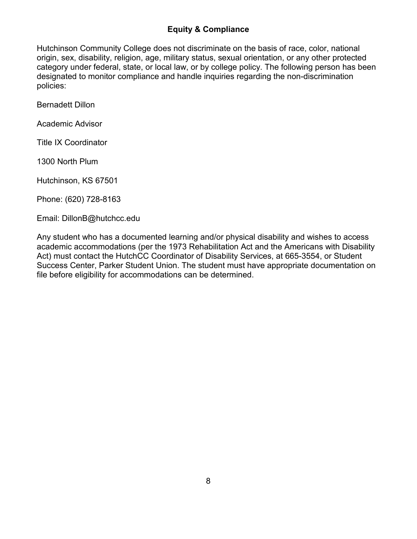# **Equity & Compliance**

<span id="page-7-0"></span>Hutchinson Community College does not discriminate on the basis of race, color, national origin, sex, disability, religion, age, military status, sexual orientation, or any other protected category under federal, state, or local law, or by college policy. The following person has been designated to monitor compliance and handle inquiries regarding the non-discrimination policies:

Bernadett Dillon

Academic Advisor

Title IX Coordinator

1300 North Plum

Hutchinson, KS 67501

Phone: (620) 728-8163

Email: DillonB@hutchcc.edu

Any student who has a documented learning and/or physical disability and wishes to access academic accommodations (per the 1973 Rehabilitation Act and the Americans with Disability Act) must contact the HutchCC Coordinator of Disability Services, at 665-3554, or Student Success Center, Parker Student Union. The student must have appropriate documentation on file before eligibility for accommodations can be determined.

. . . . . . . . . . . . . . .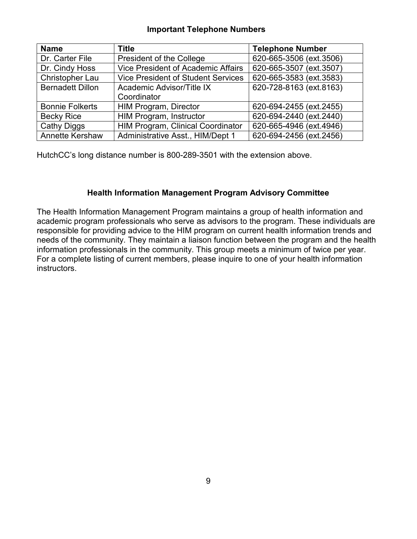#### **Important Telephone Numbers**

<span id="page-8-0"></span>

| <b>Name</b>             | Title                                     | <b>Telephone Number</b> |
|-------------------------|-------------------------------------------|-------------------------|
| Dr. Carter File         | President of the College                  | 620-665-3506 (ext.3506) |
| Dr. Cindy Hoss          | <b>Vice President of Academic Affairs</b> | 620-665-3507 (ext.3507) |
| Christopher Lau         | <b>Vice President of Student Services</b> | 620-665-3583 (ext.3583) |
| <b>Bernadett Dillon</b> | Academic Advisor/Title IX                 | 620-728-8163 (ext.8163) |
|                         | Coordinator                               |                         |
| <b>Bonnie Folkerts</b>  | <b>HIM Program, Director</b>              | 620-694-2455 (ext.2455) |
| <b>Becky Rice</b>       | HIM Program, Instructor                   | 620-694-2440 (ext.2440) |
| <b>Cathy Diggs</b>      | HIM Program, Clinical Coordinator         | 620-665-4946 (ext.4946) |
| Annette Kershaw         | Administrative Asst., HIM/Dept 1          | 620-694-2456 (ext.2456) |

HutchCC's long distance number is 800-289-3501 with the extension above.

# **Health Information Management Program Advisory Committee**

<span id="page-8-1"></span>The Health Information Management Program maintains a group of health information and academic program professionals who serve as advisors to the program. These individuals are responsible for providing advice to the HIM program on current health information trends and needs of the community. They maintain a liaison function between the program and the health information professionals in the community. This group meets a minimum of twice per year. For a complete listing of current members, please inquire to one of your health information instructors.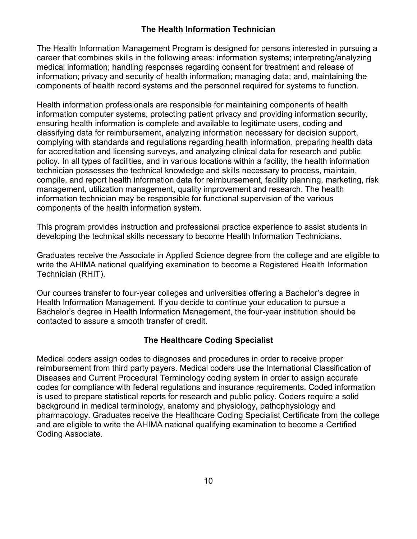### **The Health Information Technician**

<span id="page-9-0"></span>The Health Information Management Program is designed for persons interested in pursuing a career that combines skills in the following areas: information systems; interpreting/analyzing medical information; handling responses regarding consent for treatment and release of information; privacy and security of health information; managing data; and, maintaining the components of health record systems and the personnel required for systems to function.

Health information professionals are responsible for maintaining components of health information computer systems, protecting patient privacy and providing information security, ensuring health information is complete and available to legitimate users, coding and classifying data for reimbursement, analyzing information necessary for decision support, complying with standards and regulations regarding health information, preparing health data for accreditation and licensing surveys, and analyzing clinical data for research and public policy. In all types of facilities, and in various locations within a facility, the health information technician possesses the technical knowledge and skills necessary to process, maintain, compile, and report health information data for reimbursement, facility planning, marketing, risk management, utilization management, quality improvement and research. The health information technician may be responsible for functional supervision of the various components of the health information system.

This program provides instruction and professional practice experience to assist students in developing the technical skills necessary to become Health Information Technicians.

Graduates receive the Associate in Applied Science degree from the college and are eligible to write the AHIMA national qualifying examination to become a Registered Health Information Technician (RHIT).

Our courses transfer to four-year colleges and universities offering a Bachelor's degree in Health Information Management. If you decide to continue your education to pursue a Bachelor's degree in Health Information Management, the four-year institution should be contacted to assure a smooth transfer of credit.

### **The Healthcare Coding Specialist**

<span id="page-9-1"></span>Medical coders assign codes to diagnoses and procedures in order to receive proper reimbursement from third party payers. Medical coders use the International Classification of Diseases and Current Procedural Terminology coding system in order to assign accurate codes for compliance with federal regulations and insurance requirements. Coded information is used to prepare statistical reports for research and public policy. Coders require a solid background in medical terminology, anatomy and physiology, pathophysiology and pharmacology. Graduates receive the Healthcare Coding Specialist Certificate from the college and are eligible to write the AHIMA national qualifying examination to become a Certified Coding Associate.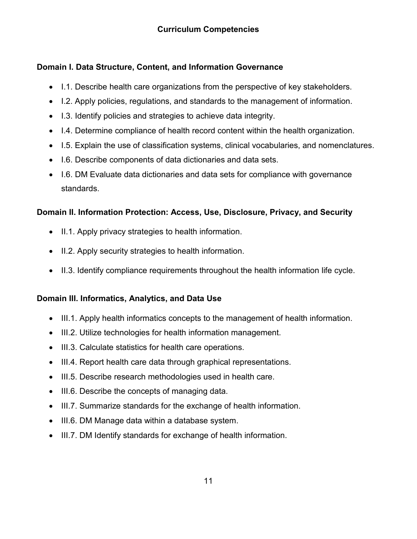# <span id="page-10-1"></span><span id="page-10-0"></span>**Domain I. Data Structure, Content, and Information Governance**

- I.1. Describe health care organizations from the perspective of key stakeholders.
- I.2. Apply policies, regulations, and standards to the management of information.
- I.3. Identify policies and strategies to achieve data integrity.
- I.4. Determine compliance of health record content within the health organization.
- I.5. Explain the use of classification systems, clinical vocabularies, and nomenclatures.
- I.6. Describe components of data dictionaries and data sets.
- I.6. DM Evaluate data dictionaries and data sets for compliance with governance standards.

# <span id="page-10-2"></span>**Domain II. Information Protection: Access, Use, Disclosure, Privacy, and Security**

- II.1. Apply privacy strategies to health information.
- II.2. Apply security strategies to health information.
- II.3. Identify compliance requirements throughout the health information life cycle.

# <span id="page-10-3"></span>**Domain III. Informatics, Analytics, and Data Use**

- III.1. Apply health informatics concepts to the management of health information.
- III.2. Utilize technologies for health information management.
- III.3. Calculate statistics for health care operations.
- III.4. Report health care data through graphical representations.
- III.5. Describe research methodologies used in health care.
- III.6. Describe the concepts of managing data.
- III.7. Summarize standards for the exchange of health information.
- III.6. DM Manage data within a database system.
- <span id="page-10-4"></span>• III.7. DM Identify standards for exchange of health information.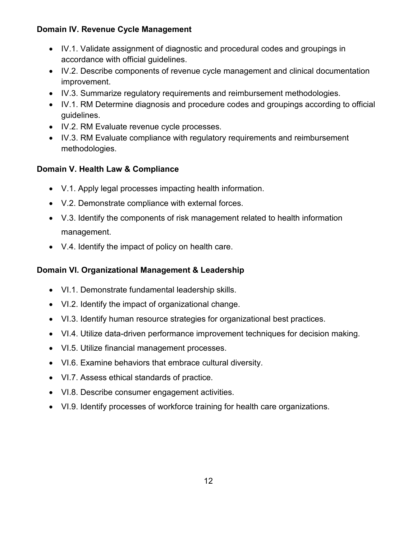# **Domain IV. Revenue Cycle Management**

- IV.1. Validate assignment of diagnostic and procedural codes and groupings in accordance with official guidelines.
- IV.2. Describe components of revenue cycle management and clinical documentation improvement.
- IV.3. Summarize regulatory requirements and reimbursement methodologies.
- IV.1. RM Determine diagnosis and procedure codes and groupings according to official guidelines.
- IV.2. RM Evaluate revenue cycle processes.
- IV.3. RM Evaluate compliance with regulatory requirements and reimbursement methodologies.

# <span id="page-11-0"></span>**Domain V. Health Law & Compliance**

- V.1. Apply legal processes impacting health information.
- V.2. Demonstrate compliance with external forces.
- V.3. Identify the components of risk management related to health information management.
- V.4. Identify the impact of policy on health care.

# <span id="page-11-1"></span>**Domain VI. Organizational Management & Leadership**

- VI.1. Demonstrate fundamental leadership skills.
- VI.2. Identify the impact of organizational change.
- VI.3. Identify human resource strategies for organizational best practices.
- VI.4. Utilize data-driven performance improvement techniques for decision making.
- VI.5. Utilize financial management processes.
- VI.6. Examine behaviors that embrace cultural diversity.
- VI.7. Assess ethical standards of practice.
- VI.8. Describe consumer engagement activities.
- VI.9. Identify processes of workforce training for health care organizations.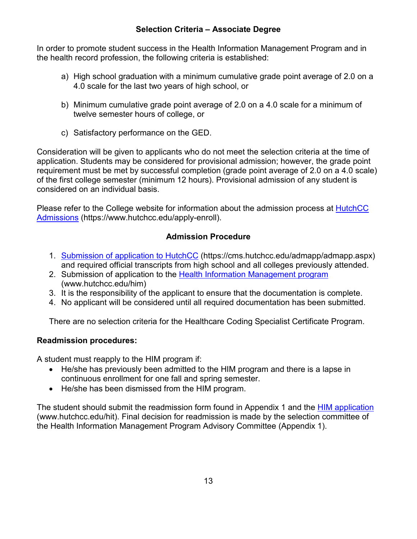# **Selection Criteria – Associate Degree**

<span id="page-12-0"></span>In order to promote student success in the Health Information Management Program and in the health record profession, the following criteria is established:

- a) High school graduation with a minimum cumulative grade point average of 2.0 on a 4.0 scale for the last two years of high school, or
- b) Minimum cumulative grade point average of 2.0 on a 4.0 scale for a minimum of twelve semester hours of college, or
- c) Satisfactory performance on the GED.

Consideration will be given to applicants who do not meet the selection criteria at the time of application. Students may be considered for provisional admission; however, the grade point requirement must be met by successful completion (grade point average of 2.0 on a 4.0 scale) of the first college semester (minimum 12 hours). Provisional admission of any student is considered on an individual basis.

Please refer to the College website for information about the admission process at [HutchCC](https://www.hutchcc.edu/apply-enroll)  [Admissions](https://www.hutchcc.edu/apply-enroll) (https://www.hutchcc.edu/apply-enroll).

# **Admission Procedure**

- <span id="page-12-1"></span>1. [Submission of application to HutchCC](https://cms.hutchcc.edu/admapp/admapp.aspx) (https://cms.hutchcc.edu/admapp/admapp.aspx) and required official transcripts from high school and all colleges previously attended.
- 2. Submission of application to the [Health Information Management](http://www.hutchcc.edu/him) program (www.hutchcc.edu/him)
- 3. It is the responsibility of the applicant to ensure that the documentation is complete.
- 4. No applicant will be considered until all required documentation has been submitted.

There are no selection criteria for the Healthcare Coding Specialist Certificate Program.

### <span id="page-12-2"></span>**Readmission procedures:**

A student must reapply to the HIM program if:

- He/she has previously been admitted to the HIM program and there is a lapse in continuous enrollment for one fall and spring semester.
- He/she has been dismissed from the HIM program.

<span id="page-12-3"></span>The student should submit the readmission form found in Appendix 1 and the [HIM application](http://www.hutchcc.edu/hit) (www.hutchcc.edu/hit). Final decision for readmission is made by the selection committee of the Health Information Management Program Advisory Committee (Appendix 1).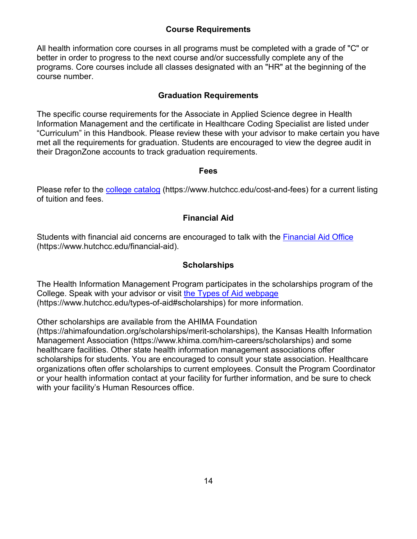# **Course Requirements**

All health information core courses in all programs must be completed with a grade of "C" or better in order to progress to the next course and/or successfully complete any of the programs. Core courses include all classes designated with an "HR" at the beginning of the course number.

# **Graduation Requirements**

<span id="page-13-0"></span>The specific course requirements for the Associate in Applied Science degree in Health Information Management and the certificate in Healthcare Coding Specialist are listed under "Curriculum" in this Handbook. Please review these with your advisor to make certain you have met all the requirements for graduation. Students are encouraged to view the degree audit in their DragonZone accounts to track graduation requirements.

#### **Fees**

<span id="page-13-1"></span>Please refer to the [college catalog](https://www.hutchcc.edu/cost-and-fees) (https://www.hutchcc.edu/cost-and-fees) for a current listing of tuition and fees.

# **Financial Aid**

<span id="page-13-2"></span>Students with financial aid concerns are encouraged to talk with the [Financial Aid Office](https://www.hutchcc.edu/financial-aid) (https://www.hutchcc.edu/financial-aid).

# **Scholarships**

<span id="page-13-3"></span>The Health Information Management Program participates in the scholarships program of the College. Speak with your advisor or visit [the Types of Aid webpage](https://www.hutchcc.edu/types-of-aid#scholarships) (https://www.hutchcc.edu/types-of-aid#scholarships) for more information.

Other scholarships are available from the AHIMA Foundation

<span id="page-13-4"></span>(https://ahimafoundation.org/scholarships/merit-scholarships), the Kansas Health Information Management Association (https://www.khima.com/him-careers/scholarships) and some healthcare facilities. Other state health information management associations offer scholarships for students. You are encouraged to consult your state association. Healthcare organizations often offer scholarships to current employees. Consult the Program Coordinator or your health information contact at your facility for further information, and be sure to check with your facility's Human Resources office.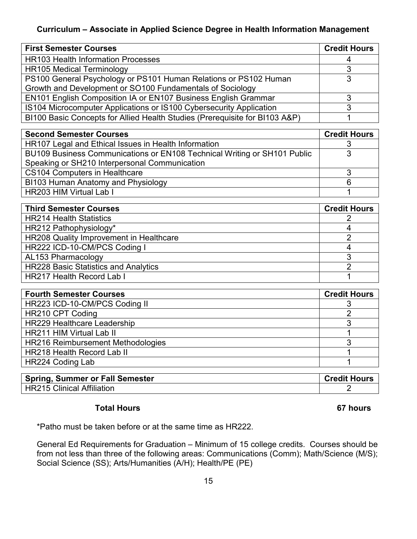# **Curriculum – Associate in Applied Science Degree in Health Information Management**

| <b>First Semester Courses</b>                                               | <b>Credit Hours</b> |
|-----------------------------------------------------------------------------|---------------------|
| <b>HR103 Health Information Processes</b>                                   | 4                   |
| <b>HR105 Medical Terminology</b>                                            |                     |
| PS100 General Psychology or PS101 Human Relations or PS102 Human            |                     |
| Growth and Development or SO100 Fundamentals of Sociology                   |                     |
| EN101 English Composition IA or EN107 Business English Grammar              |                     |
| IS104 Microcomputer Applications or IS100 Cybersecurity Application         |                     |
| BI100 Basic Concepts for Allied Health Studies (Prerequisite for BI103 A&P) |                     |

| <b>Second Semester Courses</b>                                           | <b>Credit Hours</b> |
|--------------------------------------------------------------------------|---------------------|
| HR107 Legal and Ethical Issues in Health Information                     |                     |
| BU109 Business Communications or EN108 Technical Writing or SH101 Public | વ                   |
| Speaking or SH210 Interpersonal Communication                            |                     |
| <b>CS104 Computers in Healthcare</b>                                     |                     |
| BI103 Human Anatomy and Physiology                                       | 6                   |
| HR203 HIM Virtual Lab I                                                  |                     |

| <b>Third Semester Courses</b>               | <b>Credit Hours</b> |
|---------------------------------------------|---------------------|
| <b>HR214 Health Statistics</b>              |                     |
| HR212 Pathophysiology*                      |                     |
| HR208 Quality Improvement in Healthcare     |                     |
| HR222 ICD-10-CM/PCS Coding I                |                     |
| AL153 Pharmacology                          |                     |
| <b>HR228 Basic Statistics and Analytics</b> |                     |
| <b>HR217 Health Record Lab I</b>            |                     |

| <b>Fourth Semester Courses</b>     | <b>Credit Hours</b> |
|------------------------------------|---------------------|
| HR223 ICD-10-CM/PCS Coding II      |                     |
| HR210 CPT Coding                   |                     |
| <b>HR229 Healthcare Leadership</b> |                     |
| <b>HR211 HIM Virtual Lab II</b>    |                     |
| HR216 Reimbursement Methodologies  |                     |
| <b>HR218 Health Record Lab II</b>  |                     |
| HR224 Coding Lab                   |                     |

| <b>Spring, Summer or Fall Semester</b> | <b>Credit Hours</b> |
|----------------------------------------|---------------------|
| <b>HR215 Clinical Affiliation</b>      |                     |

### **Total Hours 67 hours**

\*Patho must be taken before or at the same time as HR222.

General Ed Requirements for Graduation – Minimum of 15 college credits. Courses should be from not less than three of the following areas: Communications (Comm); Math/Science (M/S); Social Science (SS); Arts/Humanities (A/H); Health/PE (PE)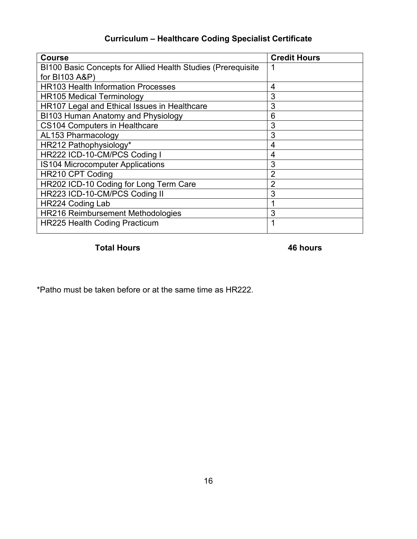# **Curriculum – Healthcare Coding Specialist Certificate**

<span id="page-15-0"></span>

| <b>Course</b>                                                | <b>Credit Hours</b> |
|--------------------------------------------------------------|---------------------|
| BI100 Basic Concepts for Allied Health Studies (Prerequisite |                     |
| for BI103 A&P)                                               |                     |
| <b>HR103 Health Information Processes</b>                    | 4                   |
| <b>HR105 Medical Terminology</b>                             | 3                   |
| HR107 Legal and Ethical Issues in Healthcare                 | 3                   |
| BI103 Human Anatomy and Physiology                           | 6                   |
| <b>CS104 Computers in Healthcare</b>                         | 3                   |
| <b>AL153 Pharmacology</b>                                    | 3                   |
| HR212 Pathophysiology*                                       | 4                   |
| HR222 ICD-10-CM/PCS Coding I                                 | 4                   |
| IS104 Microcomputer Applications                             | 3                   |
| HR210 CPT Coding                                             | $\overline{2}$      |
| HR202 ICD-10 Coding for Long Term Care                       | $\overline{2}$      |
| HR223 ICD-10-CM/PCS Coding II                                | 3                   |
| HR224 Coding Lab                                             |                     |
| HR216 Reimbursement Methodologies                            | 3                   |
| <b>HR225 Health Coding Practicum</b>                         | 1                   |

# **Total Hours 46 hours**

\*Patho must be taken before or at the same time as HR222.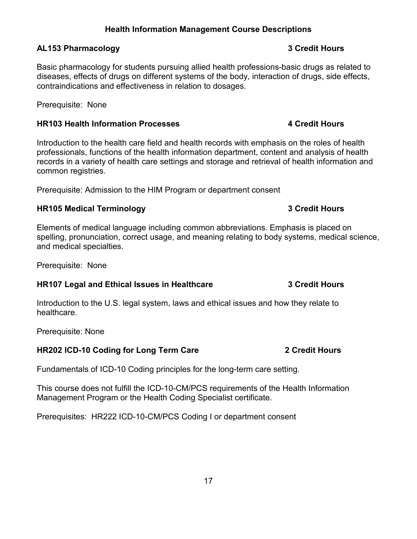# **Health Information Management Course Descriptions**

#### <span id="page-16-1"></span><span id="page-16-0"></span>**AL153 Pharmacology 3 Credit Hours**

Basic pharmacology for students pursuing allied health professions-basic drugs as related to diseases, effects of drugs on different systems of the body, interaction of drugs, side effects, contraindications and effectiveness in relation to dosages.

Prerequisite: None

#### <span id="page-16-2"></span>**HR103 Health Information Processes 4 Credit Hours**

Introduction to the health care field and health records with emphasis on the roles of health professionals, functions of the health information department, content and analysis of health records in a variety of health care settings and storage and retrieval of health information and common registries.

Prerequisite: Admission to the HIM Program or department consent

### <span id="page-16-3"></span>**HR105 Medical Terminology 3 Credit Hours**

Elements of medical language including common abbreviations. Emphasis is placed on spelling, pronunciation, correct usage, and meaning relating to body systems, medical science, and medical specialties.

Prerequisite: None

### <span id="page-16-4"></span>**HR107 Legal and Ethical Issues in Healthcare 3 Credit Hours**

Introduction to the U.S. legal system, laws and ethical issues and how they relate to healthcare.

Prerequisite: None

# <span id="page-16-5"></span>**HR202 ICD-10 Coding for Long Term Care 2 Credit Hours**

Fundamentals of ICD-10 Coding principles for the long-term care setting.

This course does not fulfill the ICD-10-CM/PCS requirements of the Health Information Management Program or the Health Coding Specialist certificate.

Prerequisites: HR222 ICD-10-CM/PCS Coding I or department consent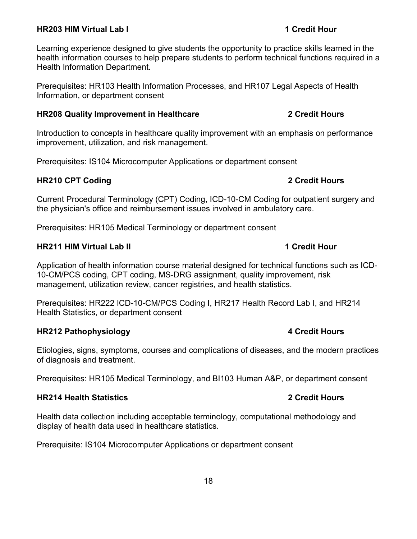#### <span id="page-17-0"></span>**HR203 HIM Virtual Lab I 1 Credit Hour**

Learning experience designed to give students the opportunity to practice skills learned in the health information courses to help prepare students to perform technical functions required in a Health Information Department.

Prerequisites: HR103 Health Information Processes, and HR107 Legal Aspects of Health Information, or department consent

#### <span id="page-17-1"></span>**HR208 Quality Improvement in Healthcare 2 Credit Hours**

Introduction to concepts in healthcare quality improvement with an emphasis on performance improvement, utilization, and risk management.

Prerequisites: IS104 Microcomputer Applications or department consent

#### <span id="page-17-2"></span>**HR210 CPT Coding 2 Credit Hours**

Current Procedural Terminology (CPT) Coding, ICD-10-CM Coding for outpatient surgery and the physician's office and reimbursement issues involved in ambulatory care.

Prerequisites: HR105 Medical Terminology or department consent

### <span id="page-17-3"></span>**HR211 HIM Virtual Lab II 1 Credit Hour**

Application of health information course material designed for technical functions such as ICD-10-CM/PCS coding, CPT coding, MS-DRG assignment, quality improvement, risk management, utilization review, cancer registries, and health statistics.

Prerequisites: HR222 ICD-10-CM/PCS Coding I, HR217 Health Record Lab I, and HR214 Health Statistics, or department consent

#### <span id="page-17-4"></span>**HR212 Pathophysiology 4 Credit Hours**

Etiologies, signs, symptoms, courses and complications of diseases, and the modern practices of diagnosis and treatment.

Prerequisites: HR105 Medical Terminology, and BI103 Human A&P, or department consent

#### <span id="page-17-5"></span>**HR214 Health Statistics 2 Credit Hours**

Health data collection including acceptable terminology, computational methodology and display of health data used in healthcare statistics.

Prerequisite: IS104 Microcomputer Applications or department consent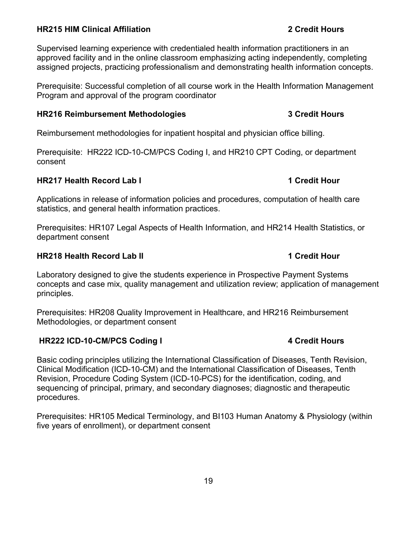### <span id="page-18-0"></span>**HR215 HIM Clinical Affiliation 2 Credit Hours**

Supervised learning experience with credentialed health information practitioners in an approved facility and in the online classroom emphasizing acting independently, completing assigned projects, practicing professionalism and demonstrating health information concepts.

Prerequisite: Successful completion of all course work in the Health Information Management Program and approval of the program coordinator

#### <span id="page-18-1"></span>**HR216 Reimbursement Methodologies 3 Credit Hours**

Reimbursement methodologies for inpatient hospital and physician office billing.

Prerequisite: HR222 ICD-10-CM/PCS Coding I, and HR210 CPT Coding, or department consent

#### <span id="page-18-2"></span>**HR217 Health Record Lab I 1 Credit Hour**

Applications in release of information policies and procedures, computation of health care statistics, and general health information practices.

Prerequisites: HR107 Legal Aspects of Health Information, and HR214 Health Statistics, or department consent

#### <span id="page-18-3"></span>**HR218 Health Record Lab II 1 Credit Hour**

Laboratory designed to give the students experience in Prospective Payment Systems concepts and case mix, quality management and utilization review; application of management principles.

Prerequisites: HR208 Quality Improvement in Healthcare, and HR216 Reimbursement Methodologies, or department consent

### <span id="page-18-4"></span>**HR222 ICD-10-CM/PCS Coding I 4 Credit Hours**

Basic coding principles utilizing the International Classification of Diseases, Tenth Revision, Clinical Modification (ICD-10-CM) and the International Classification of Diseases, Tenth Revision, Procedure Coding System (ICD-10-PCS) for the identification, coding, and sequencing of principal, primary, and secondary diagnoses; diagnostic and therapeutic procedures.

Prerequisites: HR105 Medical Terminology, and BI103 Human Anatomy & Physiology (within five years of enrollment), or department consent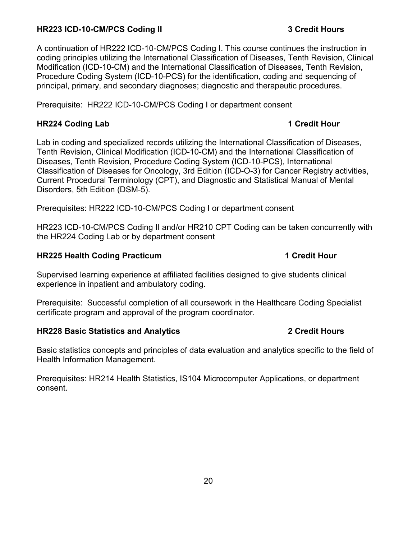### <span id="page-19-0"></span>**HR223 ICD-10-CM/PCS Coding II 3 Credit Hours**

A continuation of HR222 ICD-10-CM/PCS Coding I. This course continues the instruction in coding principles utilizing the International Classification of Diseases, Tenth Revision, Clinical Modification (ICD-10-CM) and the International Classification of Diseases, Tenth Revision, Procedure Coding System (ICD-10-PCS) for the identification, coding and sequencing of principal, primary, and secondary diagnoses; diagnostic and therapeutic procedures.

Prerequisite: HR222 ICD-10-CM/PCS Coding I or department consent

### <span id="page-19-1"></span>**HR224 Coding Lab 1 Credit Hour**

Lab in coding and specialized records utilizing the International Classification of Diseases, Tenth Revision, Clinical Modification (ICD-10-CM) and the International Classification of Diseases, Tenth Revision, Procedure Coding System (ICD-10-PCS), International Classification of Diseases for Oncology, 3rd Edition (ICD-O-3) for Cancer Registry activities, Current Procedural Terminology (CPT), and Diagnostic and Statistical Manual of Mental Disorders, 5th Edition (DSM-5).

Prerequisites: HR222 ICD-10-CM/PCS Coding I or department consent

HR223 ICD-10-CM/PCS Coding II and/or HR210 CPT Coding can be taken concurrently with the HR224 Coding Lab or by department consent

# <span id="page-19-2"></span>**HR225 Health Coding Practicum 1 Credit Hour**

Supervised learning experience at affiliated facilities designed to give students clinical experience in inpatient and ambulatory coding.

Prerequisite: Successful completion of all coursework in the Healthcare Coding Specialist certificate program and approval of the program coordinator.

# <span id="page-19-3"></span>**HR228 Basic Statistics and Analytics 2 Credit Hours**

Basic statistics concepts and principles of data evaluation and analytics specific to the field of Health Information Management.

Prerequisites: HR214 Health Statistics, IS104 Microcomputer Applications, or department consent.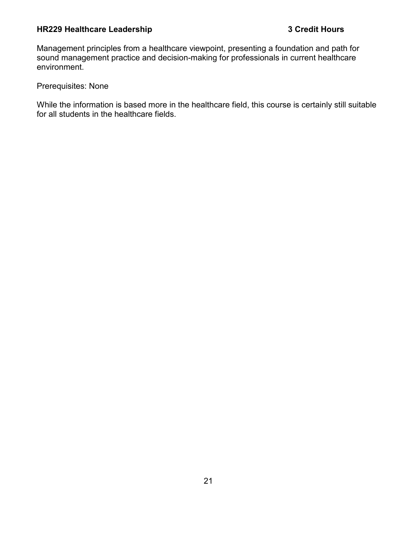# <span id="page-20-0"></span>**HR229 Healthcare Leadership 3 Credit Hours**

Management principles from a healthcare viewpoint, presenting a foundation and path for sound management practice and decision-making for professionals in current healthcare environment.

Prerequisites: None

While the information is based more in the healthcare field, this course is certainly still suitable for all students in the healthcare fields.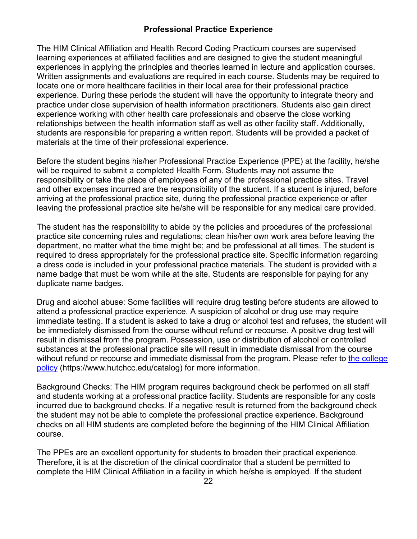# **Professional Practice Experience**

<span id="page-21-0"></span>The HIM Clinical Affiliation and Health Record Coding Practicum courses are supervised learning experiences at affiliated facilities and are designed to give the student meaningful experiences in applying the principles and theories learned in lecture and application courses. Written assignments and evaluations are required in each course. Students may be required to locate one or more healthcare facilities in their local area for their professional practice experience. During these periods the student will have the opportunity to integrate theory and practice under close supervision of health information practitioners. Students also gain direct experience working with other health care professionals and observe the close working relationships between the health information staff as well as other facility staff. Additionally, students are responsible for preparing a written report. Students will be provided a packet of materials at the time of their professional experience.

Before the student begins his/her Professional Practice Experience (PPE) at the facility, he/she will be required to submit a completed Health Form. Students may not assume the responsibility or take the place of employees of any of the professional practice sites. Travel and other expenses incurred are the responsibility of the student. If a student is injured, before arriving at the professional practice site, during the professional practice experience or after leaving the professional practice site he/she will be responsible for any medical care provided.

The student has the responsibility to abide by the policies and procedures of the professional practice site concerning rules and regulations; clean his/her own work area before leaving the department, no matter what the time might be; and be professional at all times. The student is required to dress appropriately for the professional practice site. Specific information regarding a dress code is included in your professional practice materials. The student is provided with a name badge that must be worn while at the site. Students are responsible for paying for any duplicate name badges.

Drug and alcohol abuse: Some facilities will require drug testing before students are allowed to attend a professional practice experience. A suspicion of alcohol or drug use may require immediate testing. If a student is asked to take a drug or alcohol test and refuses, the student will be immediately dismissed from the course without refund or recourse. A positive drug test will result in dismissal from the program. Possession, use or distribution of alcohol or controlled substances at the professional practice site will result in immediate dismissal from the course without refund or recourse and immediate dismissal from the program. Please refer to [the college](http://www.hutchcc.edu/catalog/policy/?id=36)  [policy](http://www.hutchcc.edu/catalog/policy/?id=36) (https://www.hutchcc.edu/catalog) for more information.

Background Checks: The HIM program requires background check be performed on all staff and students working at a professional practice facility. Students are responsible for any costs incurred due to background checks. If a negative result is returned from the background check the student may not be able to complete the professional practice experience. Background checks on all HIM students are completed before the beginning of the HIM Clinical Affiliation course.

The PPEs are an excellent opportunity for students to broaden their practical experience. Therefore, it is at the discretion of the clinical coordinator that a student be permitted to complete the HIM Clinical Affiliation in a facility in which he/she is employed. If the student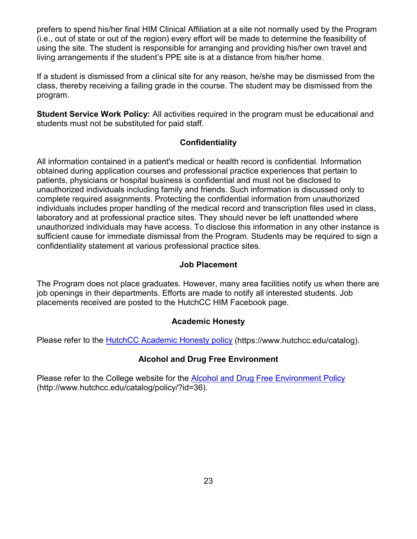prefers to spend his/her final HIM Clinical Affiliation at a site not normally used by the Program (i.e., out of state or out of the region) every effort will be made to determine the feasibility of using the site. The student is responsible for arranging and providing his/her own travel and living arrangements if the student's PPE site is at a distance from his/her home.

If a student is dismissed from a clinical site for any reason, he/she may be dismissed from the class, thereby receiving a failing grade in the course. The student may be dismissed from the program.

**Student Service Work Policy:** All activities required in the program must be educational and students must not be substituted for paid staff.

# **Confidentiality**

<span id="page-22-0"></span>All information contained in a patient's medical or health record is confidential. Information obtained during application courses and professional practice experiences that pertain to patients, physicians or hospital business is confidential and must not be disclosed to unauthorized individuals including family and friends. Such information is discussed only to complete required assignments. Protecting the confidential information from unauthorized individuals includes proper handling of the medical record and transcription files used in class, laboratory and at professional practice sites. They should never be left unattended where unauthorized individuals may have access. To disclose this information in any other instance is sufficient cause for immediate dismissal from the Program. Students may be required to sign a confidentiality statement at various professional practice sites.

### **Job Placement**

<span id="page-22-1"></span>The Program does not place graduates. However, many area facilities notify us when there are job openings in their departments. Efforts are made to notify all interested students. Job placements received are posted to the HutchCC HIM Facebook page.

# **Academic Honesty**

<span id="page-22-3"></span><span id="page-22-2"></span>Please refer to the [HutchCC Academic Honesty policy](https://www.hutchcc.edu/catalog) (https://www.hutchcc.edu/catalog).

# **Alcohol and Drug Free Environment**

<span id="page-22-4"></span>Please refer to the College website for the [Alcohol and Drug Free Environment Policy](http://www.hutchcc.edu/catalog/policy/?id=36) (http://www.hutchcc.edu/catalog/policy/?id=36).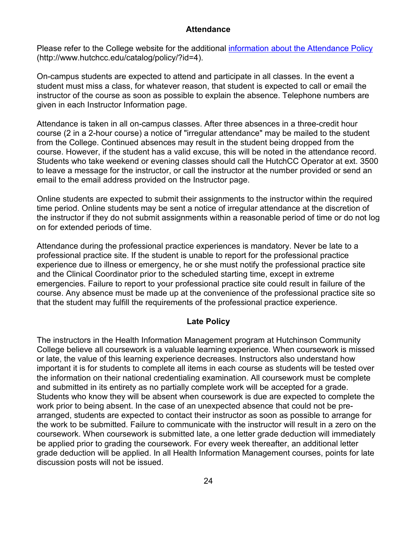#### **Attendance**

Please refer to the College website for the additional [information about the Attendance Policy](http://www.hutchcc.edu/catalog/policy/?id=4) (http://www.hutchcc.edu/catalog/policy/?id=4).

On-campus students are expected to attend and participate in all classes. In the event a student must miss a class, for whatever reason, that student is expected to call or email the instructor of the course as soon as possible to explain the absence. Telephone numbers are given in each Instructor Information page.

Attendance is taken in all on-campus classes. After three absences in a three-credit hour course (2 in a 2-hour course) a notice of "irregular attendance" may be mailed to the student from the College. Continued absences may result in the student being dropped from the course. However, if the student has a valid excuse, this will be noted in the attendance record. Students who take weekend or evening classes should call the HutchCC Operator at ext. 3500 to leave a message for the instructor, or call the instructor at the number provided or send an email to the email address provided on the Instructor page.

Online students are expected to submit their assignments to the instructor within the required time period. Online students may be sent a notice of irregular attendance at the discretion of the instructor if they do not submit assignments within a reasonable period of time or do not log on for extended periods of time.

Attendance during the professional practice experiences is mandatory. Never be late to a professional practice site. If the student is unable to report for the professional practice experience due to illness or emergency, he or she must notify the professional practice site and the Clinical Coordinator prior to the scheduled starting time, except in extreme emergencies. Failure to report to your professional practice site could result in failure of the course. Any absence must be made up at the convenience of the professional practice site so that the student may fulfill the requirements of the professional practice experience.

### **Late Policy**

<span id="page-23-0"></span>The instructors in the Health Information Management program at Hutchinson Community College believe all coursework is a valuable learning experience. When coursework is missed or late, the value of this learning experience decreases. Instructors also understand how important it is for students to complete all items in each course as students will be tested over the information on their national credentialing examination. All coursework must be complete and submitted in its entirety as no partially complete work will be accepted for a grade. Students who know they will be absent when coursework is due are expected to complete the work prior to being absent. In the case of an unexpected absence that could not be prearranged, students are expected to contact their instructor as soon as possible to arrange for the work to be submitted. Failure to communicate with the instructor will result in a zero on the coursework. When coursework is submitted late, a one letter grade deduction will immediately be applied prior to grading the coursework. For every week thereafter, an additional letter grade deduction will be applied. In all Health Information Management courses, points for late discussion posts will not be issued.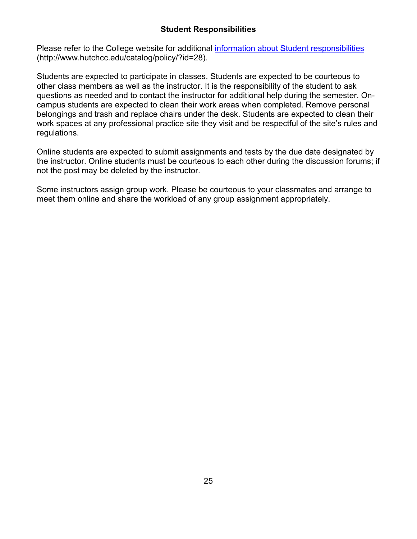# **Student Responsibilities**

<span id="page-24-0"></span>Please refer to the College website for additional [information about Student responsibilities](http://www.hutchcc.edu/catalog/policy/?id=28) (http://www.hutchcc.edu/catalog/policy/?id=28).

Students are expected to participate in classes. Students are expected to be courteous to other class members as well as the instructor. It is the responsibility of the student to ask questions as needed and to contact the instructor for additional help during the semester. Oncampus students are expected to clean their work areas when completed. Remove personal belongings and trash and replace chairs under the desk. Students are expected to clean their work spaces at any professional practice site they visit and be respectful of the site's rules and regulations.

Online students are expected to submit assignments and tests by the due date designated by the instructor. Online students must be courteous to each other during the discussion forums; if not the post may be deleted by the instructor.

Some instructors assign group work. Please be courteous to your classmates and arrange to meet them online and share the workload of any group assignment appropriately.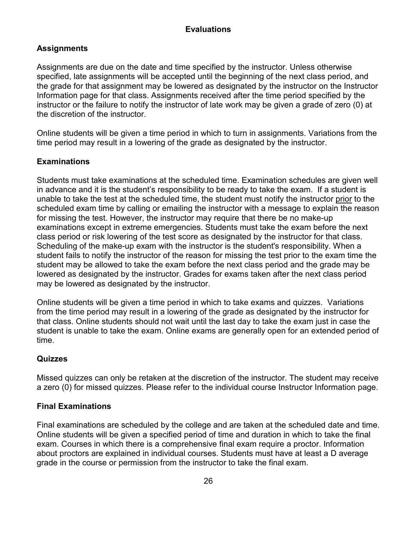# **Evaluations**

# <span id="page-25-1"></span><span id="page-25-0"></span>**Assignments**

Assignments are due on the date and time specified by the instructor. Unless otherwise specified, late assignments will be accepted until the beginning of the next class period, and the grade for that assignment may be lowered as designated by the instructor on the Instructor Information page for that class. Assignments received after the time period specified by the instructor or the failure to notify the instructor of late work may be given a grade of zero (0) at the discretion of the instructor.

Online students will be given a time period in which to turn in assignments. Variations from the time period may result in a lowering of the grade as designated by the instructor.

# <span id="page-25-2"></span>**Examinations**

Students must take examinations at the scheduled time. Examination schedules are given well in advance and it is the student's responsibility to be ready to take the exam. If a student is unable to take the test at the scheduled time, the student must notify the instructor prior to the scheduled exam time by calling or emailing the instructor with a message to explain the reason for missing the test. However, the instructor may require that there be no make-up examinations except in extreme emergencies. Students must take the exam before the next class period or risk lowering of the test score as designated by the instructor for that class. Scheduling of the make-up exam with the instructor is the student's responsibility. When a student fails to notify the instructor of the reason for missing the test prior to the exam time the student may be allowed to take the exam before the next class period and the grade may be lowered as designated by the instructor. Grades for exams taken after the next class period may be lowered as designated by the instructor.

Online students will be given a time period in which to take exams and quizzes. Variations from the time period may result in a lowering of the grade as designated by the instructor for that class. Online students should not wait until the last day to take the exam just in case the student is unable to take the exam. Online exams are generally open for an extended period of time.

### <span id="page-25-3"></span>**Quizzes**

Missed quizzes can only be retaken at the discretion of the instructor. The student may receive a zero (0) for missed quizzes. Please refer to the individual course Instructor Information page.

### <span id="page-25-4"></span>**Final Examinations**

Final examinations are scheduled by the college and are taken at the scheduled date and time. Online students will be given a specified period of time and duration in which to take the final exam. Courses in which there is a comprehensive final exam require a proctor. Information about proctors are explained in individual courses. Students must have at least a D average grade in the course or permission from the instructor to take the final exam.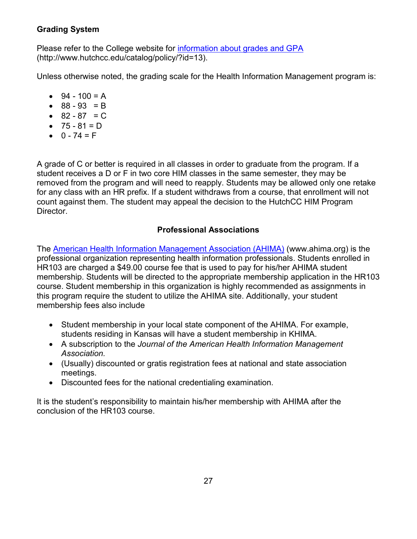# <span id="page-26-0"></span>**Grading System**

Please refer to the College website for [information about grades and GPA](http://www.hutchcc.edu/catalog/policy/?id=13) (http://www.hutchcc.edu/catalog/policy/?id=13).

Unless otherwise noted, the grading scale for the Health Information Management program is:

- $94 100 = A$
- $88 93 = B$
- $82 87 = C$
- $75 81 = D$
- $0 74 = F$

A grade of C or better is required in all classes in order to graduate from the program. If a student receives a D or F in two core HIM classes in the same semester, they may be removed from the program and will need to reapply. Students may be allowed only one retake for any class with an HR prefix. If a student withdraws from a course, that enrollment will not count against them. The student may appeal the decision to the HutchCC HIM Program Director.

# **Professional Associations**

<span id="page-26-1"></span>The [American Health Information Management Association \(AHIMA\)](http://www.ahima.org/) (www.ahima.org) is the professional organization representing health information professionals. Students enrolled in HR103 are charged a \$49.00 course fee that is used to pay for his/her AHIMA student membership. Students will be directed to the appropriate membership application in the HR103 course. Student membership in this organization is highly recommended as assignments in this program require the student to utilize the AHIMA site. Additionally, your student membership fees also include

- Student membership in your local state component of the AHIMA. For example, students residing in Kansas will have a student membership in KHIMA.
- A subscription to the *Journal of the American Health Information Management Association.*
- (Usually) discounted or gratis registration fees at national and state association meetings.
- Discounted fees for the national credentialing examination.

It is the student's responsibility to maintain his/her membership with AHIMA after the conclusion of the HR103 course.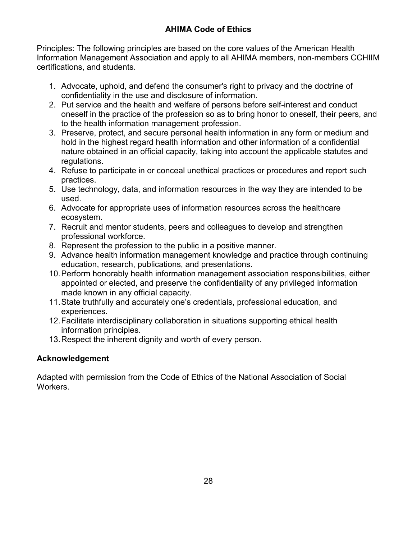<span id="page-27-0"></span>Principles: The following principles are based on the core values of the American Health Information Management Association and apply to all AHIMA members, non-members CCHIIM certifications, and students.

- 1. Advocate, uphold, and defend the consumer's right to privacy and the doctrine of confidentiality in the use and disclosure of information.
- 2. Put service and the health and welfare of persons before self-interest and conduct oneself in the practice of the profession so as to bring honor to oneself, their peers, and to the health information management profession.
- 3. Preserve, protect, and secure personal health information in any form or medium and hold in the highest regard health information and other information of a confidential nature obtained in an official capacity, taking into account the applicable statutes and regulations.
- 4. Refuse to participate in or conceal unethical practices or procedures and report such practices.
- 5. Use technology, data, and information resources in the way they are intended to be used.
- 6. Advocate for appropriate uses of information resources across the healthcare ecosystem.
- 7. Recruit and mentor students, peers and colleagues to develop and strengthen professional workforce.
- 8. Represent the profession to the public in a positive manner.
- 9. Advance health information management knowledge and practice through continuing education, research, publications, and presentations.
- 10.Perform honorably health information management association responsibilities, either appointed or elected, and preserve the confidentiality of any privileged information made known in any official capacity.
- 11.State truthfully and accurately one's credentials, professional education, and experiences.
- 12.Facilitate interdisciplinary collaboration in situations supporting ethical health information principles.
- 13.Respect the inherent dignity and worth of every person.

# <span id="page-27-1"></span>**Acknowledgement**

<span id="page-27-2"></span>Adapted with permission from the Code of Ethics of the National Association of Social Workers.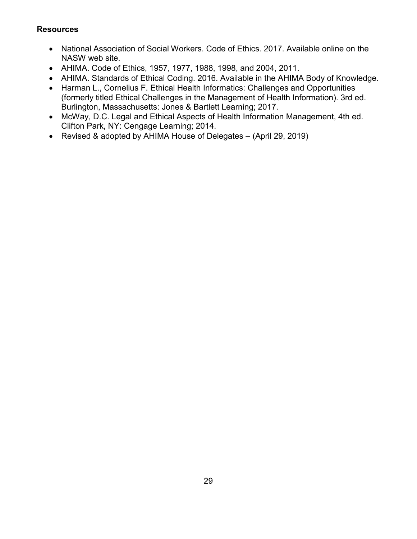# **Resources**

- National Association of Social Workers. Code of Ethics. 2017. Available online on the NASW web site.
- AHIMA. Code of Ethics, 1957, 1977, 1988, 1998, and 2004, 2011.
- AHIMA. Standards of Ethical Coding. 2016. Available in the AHIMA Body of Knowledge.
- Harman L., Cornelius F. Ethical Health Informatics: Challenges and Opportunities (formerly titled Ethical Challenges in the Management of Health Information). 3rd ed. Burlington, Massachusetts: Jones & Bartlett Learning; 2017.
- McWay, D.C. Legal and Ethical Aspects of Health Information Management, 4th ed. Clifton Park, NY: Cengage Learning; 2014.
- Revised & adopted by AHIMA House of Delegates (April 29, 2019)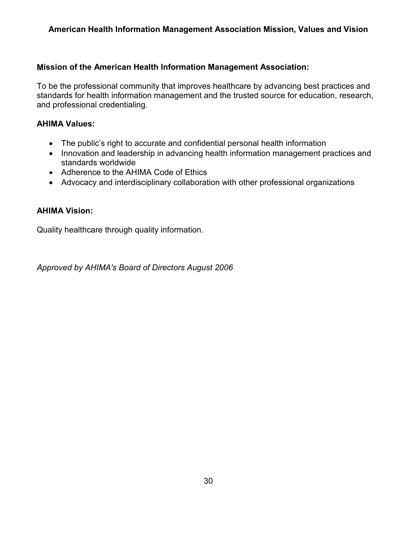# <span id="page-29-0"></span>**American Health Information Management Association Mission, Values and Vision**

### <span id="page-29-1"></span>**Mission of the American Health Information Management Association:**

To be the professional community that improves healthcare by advancing best practices and standards for health information management and the trusted source for education, research, and professional credentialing.

#### <span id="page-29-2"></span>**AHIMA Values:**

- The public's right to accurate and confidential personal health information
- Innovation and leadership in advancing health information management practices and standards worldwide
- Adherence to the AHIMA Code of Ethics
- Advocacy and interdisciplinary collaboration with other professional organizations

### <span id="page-29-3"></span>**AHIMA Vision:**

Quality healthcare through quality information.

*Approved by AHIMA's Board of Directors August 2006*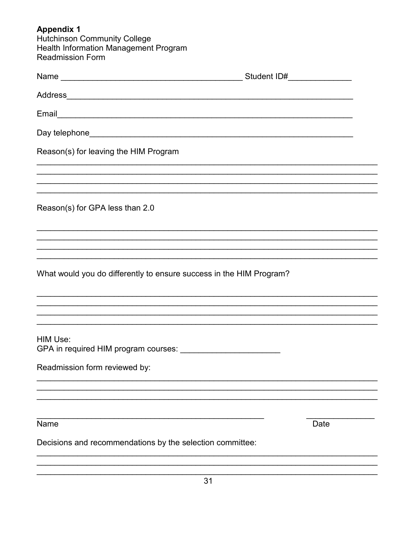<span id="page-30-0"></span>**Appendix 1**<br>Hutchinson Community College<br>Health Information Management Program<br>Readmission Form

| Reason(s) for leaving the HIM Program                               |                                                                                   |
|---------------------------------------------------------------------|-----------------------------------------------------------------------------------|
|                                                                     |                                                                                   |
| Reason(s) for GPA less than 2.0                                     |                                                                                   |
|                                                                     | ,我们也不能在这里的人,我们也不能在这里的人,我们也不能在这里的人,我们也不能在这里的人,我们也不能在这里的人,我们也不能在这里的人,我们也不能在这里的人,我们也 |
|                                                                     |                                                                                   |
| What would you do differently to ensure success in the HIM Program? |                                                                                   |
|                                                                     | ,我们也不能在这里的人,我们也不能在这里的人,我们也不能在这里的人,我们也不能在这里的人,我们也不能在这里的人,我们也不能在这里的人,我们也不能在这里的人,我们也 |
|                                                                     |                                                                                   |
| HIM Use:<br>GPA in required HIM program courses:                    |                                                                                   |
| Readmission form reviewed by:                                       |                                                                                   |
|                                                                     |                                                                                   |
| Name                                                                | Date                                                                              |
| Decisions and recommendations by the selection committee:           |                                                                                   |
|                                                                     |                                                                                   |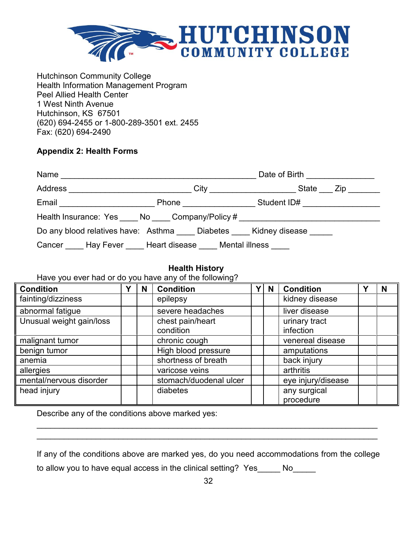

Hutchinson Community College Health Information Management Program Peel Allied Health Center 1 West Ninth Avenue Hutchinson, KS 67501 (620) 694-2455 or 1-800-289-3501 ext. 2455 Fax: (620) 694-2490

# <span id="page-31-0"></span>**Appendix 2: Health Forms**

|                                                                                  |                               | Date of Birth _________________ |
|----------------------------------------------------------------------------------|-------------------------------|---------------------------------|
| Address ______________________________                                           |                               |                                 |
| Email ___________________________                                                | Phone <u>________________</u> | Student ID# _________________   |
| Health Insurance: Yes _____ No _____ Company/Policy # __________________________ |                               |                                 |
| Do any blood relatives have: Asthma Diabetes Kidney disease                      |                               |                                 |
| Cancer Hay Fever Heart disease Mental illness                                    |                               |                                 |

# **Health History**

# Have you ever had or do you have any of the following?

| <b>Condition</b>         | v | N | <b>Condition</b>              | Y <sub>1</sub> | N | <b>Condition</b>                  | v | N |
|--------------------------|---|---|-------------------------------|----------------|---|-----------------------------------|---|---|
| fainting/dizziness       |   |   | epilepsy                      |                |   | kidney disease                    |   |   |
| abnormal fatigue         |   |   | severe headaches              |                |   | liver disease                     |   |   |
| Unusual weight gain/loss |   |   | chest pain/heart<br>condition |                |   | urinary tract<br><i>infection</i> |   |   |
| malignant tumor          |   |   | chronic cough                 |                |   | venereal disease                  |   |   |
| benign tumor             |   |   | High blood pressure           |                |   | amputations                       |   |   |
| anemia                   |   |   | shortness of breath           |                |   | back injury                       |   |   |
| allergies                |   |   | varicose veins                |                |   | arthritis                         |   |   |
| mental/nervous disorder  |   |   | stomach/duodenal ulcer        |                |   | eye injury/disease                |   |   |
| head injury              |   |   | diabetes                      |                |   | any surgical<br>procedure         |   |   |

Describe any of the conditions above marked yes:

If any of the conditions above are marked yes, do you need accommodations from the college to allow you to have equal access in the clinical setting? Yes No

\_\_\_\_\_\_\_\_\_\_\_\_\_\_\_\_\_\_\_\_\_\_\_\_\_\_\_\_\_\_\_\_\_\_\_\_\_\_\_\_\_\_\_\_\_\_\_\_\_\_\_\_\_\_\_\_\_\_\_\_\_\_\_\_\_\_\_\_\_\_\_\_\_\_\_ \_\_\_\_\_\_\_\_\_\_\_\_\_\_\_\_\_\_\_\_\_\_\_\_\_\_\_\_\_\_\_\_\_\_\_\_\_\_\_\_\_\_\_\_\_\_\_\_\_\_\_\_\_\_\_\_\_\_\_\_\_\_\_\_\_\_\_\_\_\_\_\_\_\_\_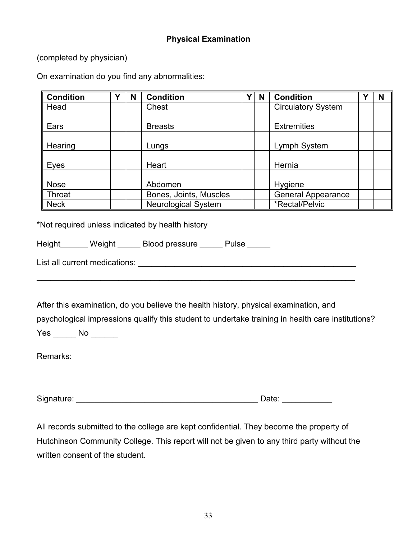# **Physical Examination**

<span id="page-32-0"></span>(completed by physician)

On examination do you find any abnormalities:

| <b>Condition</b> | Υ | N | <b>Condition</b>           | Υ | N | <b>Condition</b>          | N |
|------------------|---|---|----------------------------|---|---|---------------------------|---|
| Head             |   |   | Chest                      |   |   | <b>Circulatory System</b> |   |
| Ears             |   |   | <b>Breasts</b>             |   |   | <b>Extremities</b>        |   |
| Hearing          |   |   | Lungs                      |   |   | Lymph System              |   |
| Eyes             |   |   | Heart                      |   |   | Hernia                    |   |
| <b>Nose</b>      |   |   | Abdomen                    |   |   | Hygiene                   |   |
| Throat           |   |   | Bones, Joints, Muscles     |   |   | General Appearance        |   |
| <b>Neck</b>      |   |   | <b>Neurological System</b> |   |   | *Rectal/Pelvic            |   |

\*Not required unless indicated by health history

| <b>Height</b> | Weight | <b>Blood pressure</b> | Pulse |  |
|---------------|--------|-----------------------|-------|--|
|               |        |                       |       |  |

List all current medications: **List all current** medications:

After this examination, do you believe the health history, physical examination, and psychological impressions qualify this student to undertake training in health care institutions? Yes \_\_\_\_\_\_ No \_\_\_\_\_\_\_

\_\_\_\_\_\_\_\_\_\_\_\_\_\_\_\_\_\_\_\_\_\_\_\_\_\_\_\_\_\_\_\_\_\_\_\_\_\_\_\_\_\_\_\_\_\_\_\_\_\_\_\_\_\_\_\_\_\_\_\_\_\_\_\_\_\_\_\_\_\_

Remarks:

Signature: \_\_\_\_\_\_\_\_\_\_\_\_\_\_\_\_\_\_\_\_\_\_\_\_\_\_\_\_\_\_\_\_\_\_\_\_\_\_\_\_ Date: \_\_\_\_\_\_\_\_\_\_\_

All records submitted to the college are kept confidential. They become the property of Hutchinson Community College. This report will not be given to any third party without the written consent of the student.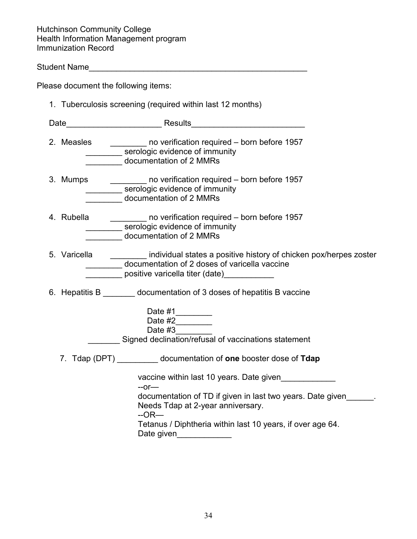Hutchinson Community College Health Information Management program Immunization Record

Student Name\_\_\_\_\_\_\_\_\_\_\_\_\_\_\_\_\_\_\_\_\_\_\_\_\_\_\_\_\_\_\_\_\_\_\_\_\_\_\_\_\_\_\_\_\_\_\_\_

Please document the following items:

| 1. Tuberculosis screening (required within last 12 months) |                                                                                                                                                                                                                                                                                                          |  |  |  |  |
|------------------------------------------------------------|----------------------------------------------------------------------------------------------------------------------------------------------------------------------------------------------------------------------------------------------------------------------------------------------------------|--|--|--|--|
|                                                            |                                                                                                                                                                                                                                                                                                          |  |  |  |  |
| 2. Measles                                                 | no verification required - born before 1957<br>__________ serologic evidence of immunity<br>documentation of 2 MMRs                                                                                                                                                                                      |  |  |  |  |
|                                                            | 3. Mumps ___________ no verification required - born before 1957<br>__________ serologic evidence of immunity<br>documentation of 2 MMRs                                                                                                                                                                 |  |  |  |  |
| 4. Rubella                                                 | no verification required – born before 1957<br>serologic evidence of immunity<br>documentation of 2 MMRs                                                                                                                                                                                                 |  |  |  |  |
| 5. Varicella                                               | individual states a positive history of chicken pox/herpes zoster<br>documentation of 2 doses of varicella vaccine<br>positive varicella titer (date) example a positive                                                                                                                                 |  |  |  |  |
|                                                            | 6. Hepatitis B ________ documentation of 3 doses of hepatitis B vaccine<br>Date #1________<br>Date #3<br>Signed declination/refusal of vaccinations statement                                                                                                                                            |  |  |  |  |
|                                                            | 7. Tdap (DPT) __________ documentation of one booster dose of Tdap<br>vaccine within last 10 years. Date given<br>$-$ or $-$<br>documentation of TD if given in last two years. Date given<br>Needs Tdap at 2-year anniversary.<br>$-OR$ —<br>Tetanus / Diphtheria within last 10 years, if over age 64. |  |  |  |  |

Date given\_\_\_\_\_\_\_\_\_\_\_\_\_\_\_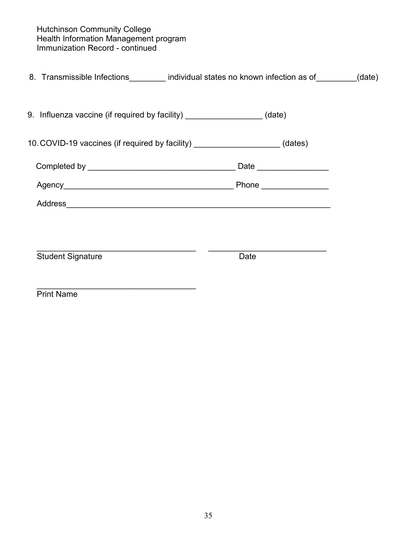Hutchinson Community College Health Information Management program Immunization Record - continued

| 8. Transmissible Infections_________ individual states no known infection as of________(date) |                          |  |
|-----------------------------------------------------------------------------------------------|--------------------------|--|
| 9. Influenza vaccine (if required by facility) ___________________(date)                      |                          |  |
| 10. COVID-19 vaccines (if required by facility) _____________________(dates)                  |                          |  |
|                                                                                               | Date ___________________ |  |
|                                                                                               |                          |  |
|                                                                                               |                          |  |
|                                                                                               |                          |  |
| <b>Student Signature</b>                                                                      | Date                     |  |
| <b>Print Name</b>                                                                             |                          |  |